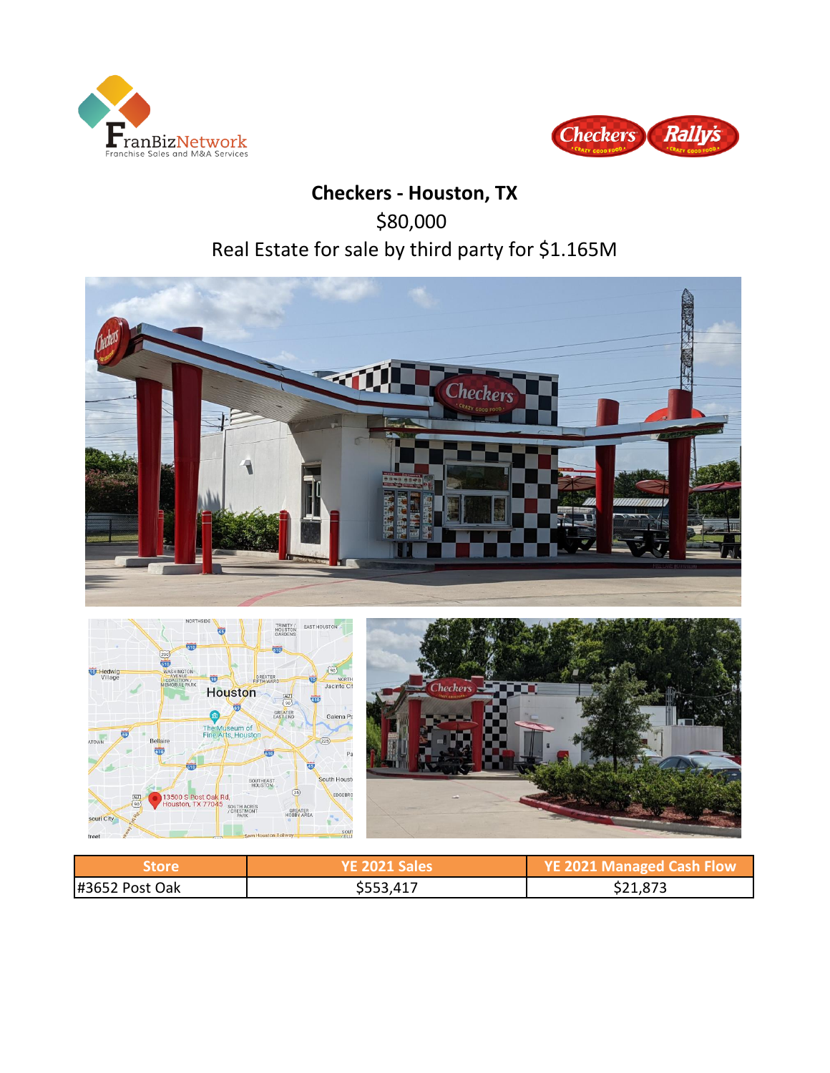



# **Checkers - Houston, TX** \$80,000 Real Estate for sale by third party for \$1.165M



**Store YE 2021 Sales YE 2021 Managed Cash Flow**

#3652 Post Oak \$553,417 \$21,873

South Houst

EDGEBRO

SOUT<br>/ ELLI

SOUTHEAST

SOUTH ACRES<br>/ CRESTMONT<br>PARK

13500 S Post Oak Rd,<br>Houston, TX 77045

souri City

 $(35)$ 

GREATER<br>HOBBY AREA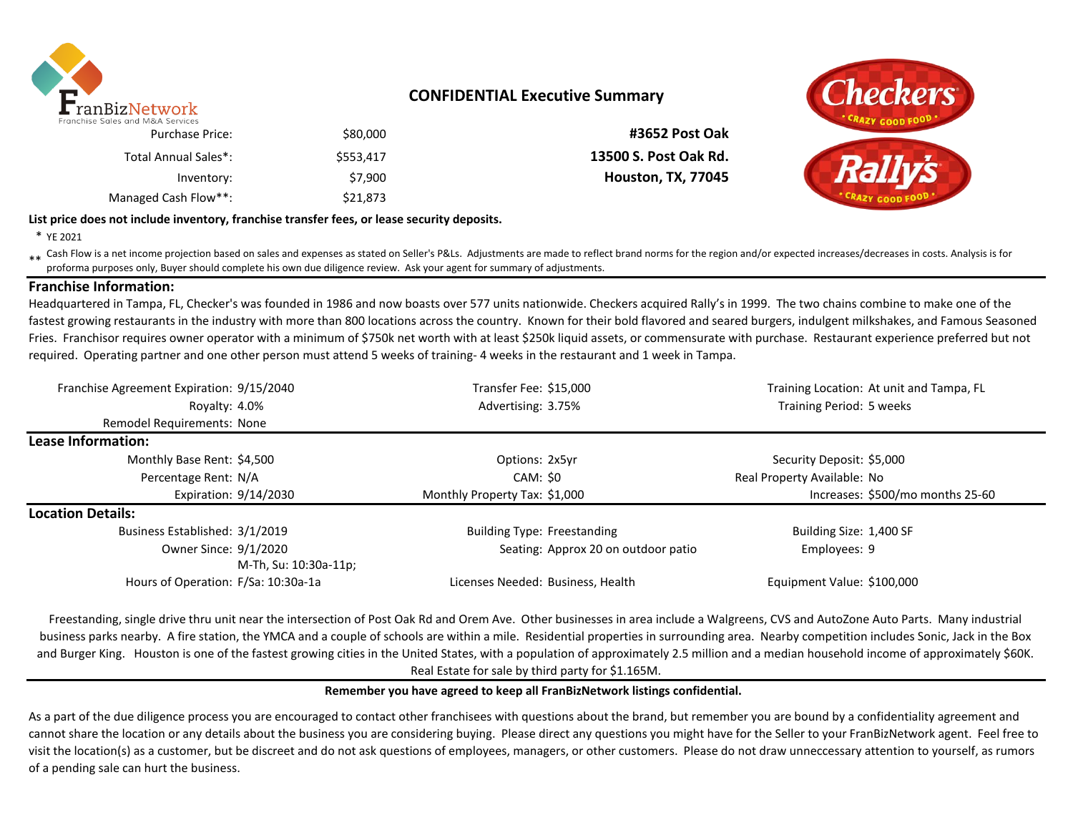

### **CONFIDENTIAL Executive Summary**

\$80,000 **#3652 Post Oak**

\$553,417 **13500 S. Post Oak Rd. Houston, TX, 77045** 

| <b>Purchase Price:</b> | \$80,000  |
|------------------------|-----------|
| Total Annual Sales*:   | \$553,417 |
| Inventory:             | \$7.900   |
| Managed Cash Flow**:   | \$21,873  |

# Checkers

### **List price does not include inventory, franchise transfer fees, or lease security deposits.**

\* YE 2021

\*\* Cash Flow is a net income projection based on sales and expenses as stated on Seller's P&Ls. Adjustments are made to reflect brand norms for the region and/or expected increases/decreases in costs. Analysis is for<br>profo proforma purposes only, Buyer should complete his own due diligence review. Ask your agent for summary of adjustments.

### **Franchise Information:**

Headquartered in Tampa, FL, Checker's was founded in 1986 and now boasts over 577 units nationwide. Checkers acquired Rally's in 1999. The two chains combine to make one of the fastest growing restaurants in the industry with more than 800 locations across the country. Known for their bold flavored and seared burgers, indulgent milkshakes, and Famous Seasoned Fries. Franchisor requires owner operator with a minimum of \$750k net worth with at least \$250k liquid assets, or commensurate with purchase. Restaurant experience preferred but not required. Operating partner and one other person must attend 5 weeks of training- 4 weeks in the restaurant and 1 week in Tampa.

| Franchise Agreement Expiration: 9/15/2040      | Transfer Fee: \$15,000              | Training Location: At unit and Tampa, FL |  |  |  |
|------------------------------------------------|-------------------------------------|------------------------------------------|--|--|--|
| Royalty: 4.0%                                  | Advertising: 3.75%                  | Training Period: 5 weeks                 |  |  |  |
| <b>Remodel Requirements: None</b>              |                                     |                                          |  |  |  |
| Lease Information:                             |                                     |                                          |  |  |  |
| Monthly Base Rent: \$4,500                     | Options: 2x5yr                      | Security Deposit: \$5,000                |  |  |  |
| Percentage Rent: N/A                           | CAM: \$0                            | Real Property Available: No              |  |  |  |
| Expiration: 9/14/2030                          | Monthly Property Tax: \$1,000       | Increases: \$500/mo months 25-60         |  |  |  |
| <b>Location Details:</b>                       |                                     |                                          |  |  |  |
| Business Established: 3/1/2019                 | <b>Building Type: Freestanding</b>  | Building Size: 1,400 SF                  |  |  |  |
| Owner Since: 9/1/2020<br>M-Th, Su: 10:30a-11p; | Seating: Approx 20 on outdoor patio | Employees: 9                             |  |  |  |
| Hours of Operation: F/Sa: 10:30a-1a            | Licenses Needed: Business, Health   | Equipment Value: \$100,000               |  |  |  |

Freestanding, single drive thru unit near the intersection of Post Oak Rd and Orem Ave. Other businesses in area include a Walgreens, CVS and AutoZone Auto Parts. Many industrial business parks nearby. A fire station, the YMCA and a couple of schools are within a mile. Residential properties in surrounding area. Nearby competition includes Sonic, Jack in the Box and Burger King. Houston is one of the fastest growing cities in the United States, with a population of approximately 2.5 million and a median household income of approximately \$60K. Real Estate for sale by third party for \$1.165M.

### **Remember you have agreed to keep all FranBizNetwork listings confidential.**

As a part of the due diligence process you are encouraged to contact other franchisees with questions about the brand, but remember you are bound by a confidentiality agreement and cannot share the location or any details about the business you are considering buying. Please direct any questions you might have for the Seller to your FranBizNetwork agent. Feel free to visit the location(s) as a customer, but be discreet and do not ask questions of employees, managers, or other customers. Please do not draw unneccessary attention to yourself, as rumors of a pending sale can hurt the business.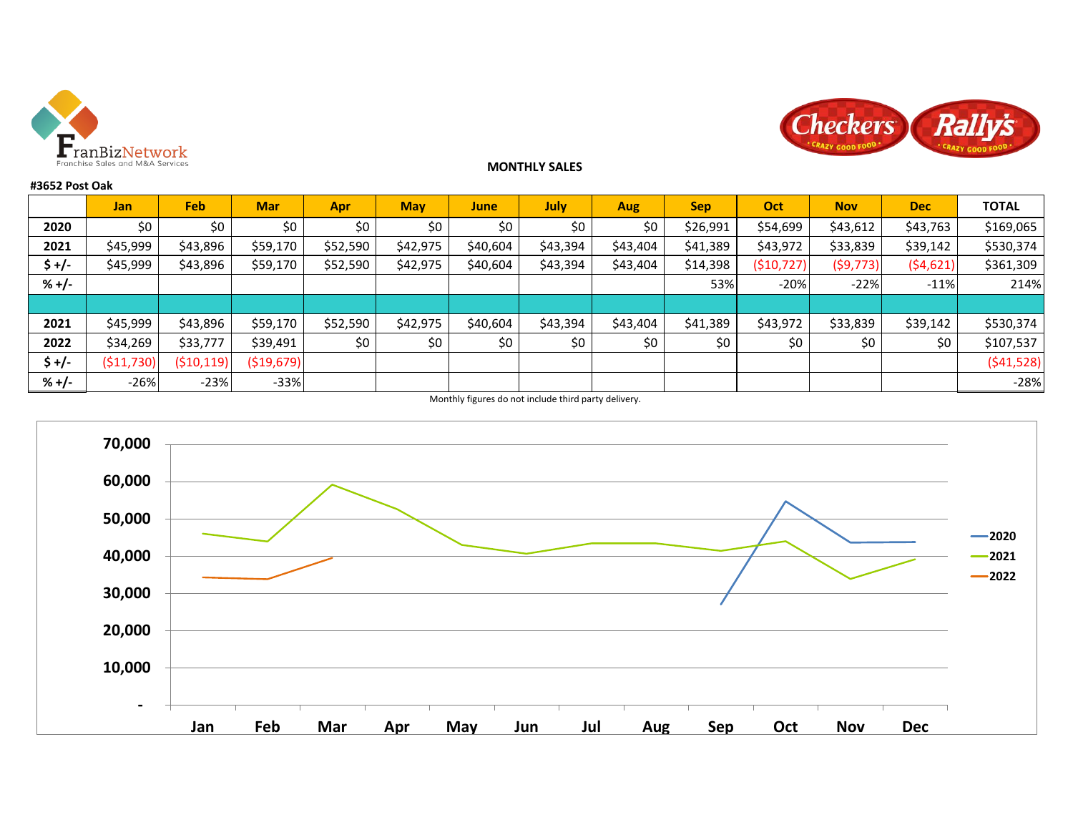



### **MONTHLY SALES**

### **#3652 Post Oak**

|         | <b>Jan</b> | Feb.         | <b>Mar</b>  | <b>Apr</b> | <b>May</b> | <b>June</b> | July     | <b>Aug</b> | <b>Sep</b> | Oct          | <b>Nov</b> | <b>Dec</b> | <b>TOTAL</b> |
|---------|------------|--------------|-------------|------------|------------|-------------|----------|------------|------------|--------------|------------|------------|--------------|
| 2020    | \$0        | \$0          | \$0         | \$0        | \$0        | \$0         | \$0      | \$0        | \$26,991   | \$54,699     | \$43,612   | \$43,763   | \$169,065    |
| 2021    | \$45,999   | \$43,896     | \$59,170    | \$52,590   | \$42,975   | \$40,604    | \$43,394 | \$43,404   | \$41,389   | \$43,972     | \$33,839   | \$39,142   | \$530,374    |
| \$+/-   | \$45,999   | \$43,896     | \$59,170    | \$52,590   | \$42,975   | \$40,604    | \$43,394 | \$43,404   | \$14,398   | ( \$10, 727] | (\$9,773)  | (54,621)   | \$361,309    |
| $% +/-$ |            |              |             |            |            |             |          |            | 53%        | $-20%$       | $-22%$     | $-11%$     | 214%         |
|         |            |              |             |            |            |             |          |            |            |              |            |            |              |
| 2021    | \$45,999   | \$43,896     | \$59,170    | \$52,590   | \$42,975   | \$40,604    | \$43,394 | \$43,404   | \$41,389   | \$43,972     | \$33,839   | \$39,142   | \$530,374    |
| 2022    | \$34,269   | \$33,777     | \$39,491    | \$0        | \$0        | \$0         | \$0      | \$0        | \$0        | \$0          | \$0        | \$0        | \$107,537    |
| \$ +/-  | (\$11,730) | ( \$10, 119) | ( \$19,679] |            |            |             |          |            |            |              |            |            | (541,528)    |
| $% +/-$ | $-26%$     | $-23%$       | $-33%$      |            |            |             |          |            |            |              |            |            | $-28%$       |

Monthly figures do not include third party delivery.